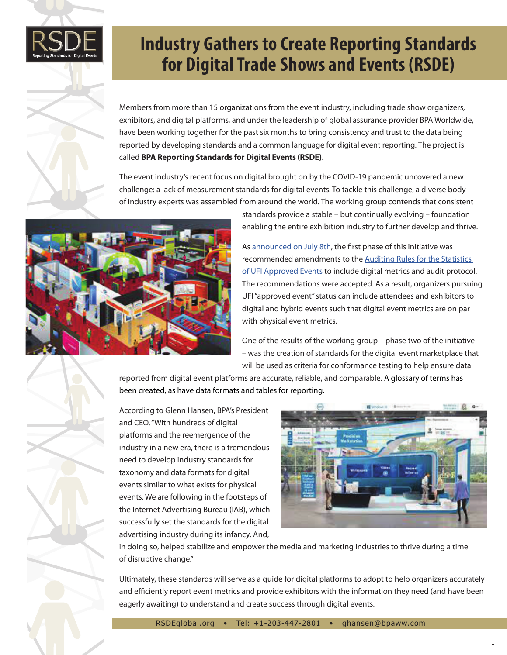

## **Industry Gathers to Create Reporting Standards for Digital Trade Shows and Events (RSDE)**

Members from more than 15 organizations from the event industry, including trade show organizers, exhibitors, and digital platforms, and under the leadership of global assurance provider BPA Worldwide, have been working together for the past six months to bring consistency and trust to the data being reported by developing standards and a common language for digital event reporting. The project is called **BPA Reporting Standards for Digital Events (RSDE).**

The event industry's recent focus on digital brought on by the COVID-19 pandemic uncovered a new challenge: a lack of measurement standards for digital events. To tackle this challenge, a diverse body of industry experts was assembled from around the world. The working group contends that consistent



standards provide a stable – but continually evolving – foundation enabling the entire exhibition industry to further develop and thrive.

As [announced on July 8th,](https://bpaww.com/bpaww/Content/MainContent/News/NewsReleases/2021/BPA%20Worldwide%20Working%20Group%20Assists%20UFI%20in%20Creating%20Audit%20Rules%20for%20Digital%20Events%20-%20Trade%20Shows.pdf) the first phase of this initiative was recommended amendments to the [Auditing Rules for the Statistics](https://www.ufi.org/wp-content/uploads/2021/07/Amendments-to-the-Auditing-Rules-for-the-Statistics-of-UFI-Approved-Events_June2021.pdf)  [of UFI Approved Events](https://www.ufi.org/wp-content/uploads/2021/07/Amendments-to-the-Auditing-Rules-for-the-Statistics-of-UFI-Approved-Events_June2021.pdf) to include digital metrics and audit protocol. The recommendations were accepted. As a result, organizers pursuing UFI "approved event" status can include attendees and exhibitors to digital and hybrid events such that digital event metrics are on par with physical event metrics.

One of the results of the working group – phase two of the initiative – was the creation of standards for the digital event marketplace that will be used as criteria for conformance testing to help ensure data

reported from digital event platforms are accurate, reliable, and comparable. A glossary of terms has been created, as have data formats and tables for reporting.

According to Glenn Hansen, BPA's President and CEO, "With hundreds of digital platforms and the reemergence of the industry in a new era, there is a tremendous need to develop industry standards for taxonomy and data formats for digital events similar to what exists for physical events. We are following in the footsteps of the Internet Advertising Bureau (IAB), which successfully set the standards for the digital advertising industry during its infancy. And,



in doing so, helped stabilize and empower the media and marketing industries to thrive during a time of disruptive change."

Ultimately, these standards will serve as a guide for digital platforms to adopt to help organizers accurately and efficiently report event metrics and provide exhibitors with the information they need (and have been eagerly awaiting) to understand and create success through digital events.